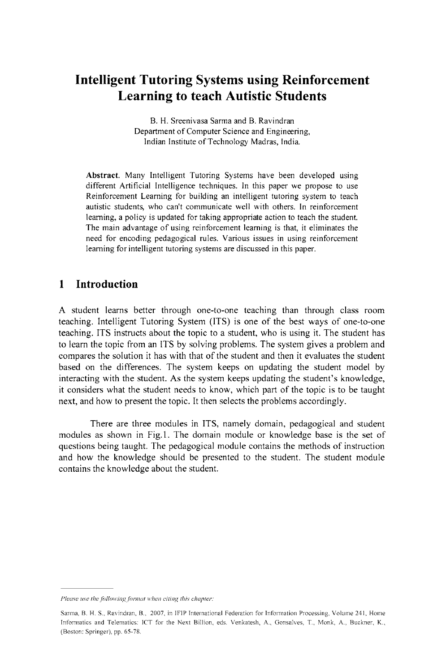# **Intelligent Tutoring Systems using Reinforcement Learning to teach Autistic Students**

B. H. Sreenivasa Sarma and B. Ravindran Department of Computer Science and Engineering, Indian Institute of Technology Madras, India.

**Abstract.** Many Intelligent Tutoring Systems have been developed using different Artificial Intelligence techniques. In this paper we propose to use Reinforcement Learning for building an intelligent tutoring system to teach autistic students, who can't communicate well with others. In reinforcement learning, a policy is updated for taking appropriate action to teach the student. The main advantage of using reinforcement learning is that, it eliminates the need for encoding pedagogical rules. Various issues in using reinforcement learning for intelligent tutoring systems are discussed in this paper.

# **1 Introduction**

A student learns better through one-to-one teaching than through class room teaching. Intelligent Tutoring System (ITS) is one of the best ways of one-to-one teaching. ITS instructs about the topic to a student, who is using it. The student has to learn the topic from an ITS by solving problems. The system gives a problem and compares the solution it has with that of the student and then it evaluates the student based on the differences. The system keeps on updating the student model by interacting with the student. As the system keeps updating the student's knowledge, it considers what the student needs to know, which part of the topic is to be taught next, and how to present the topic. It then selects the problems accordingly.

There are three modules in ITS, namely domain, pedagogical and student modules as shown in Fig.l. The domain module or knowledge base is the set of questions being taught. The pedagogical module contains the methods of instruction and how the knowledge should be presented to the student. The student module contains the knowledge about the student.

*Please use the following format when citing this chapter:* 

Sarma, B. H. S., Ravindran, B., 2007, in IFIP International Federation for Information Processing, Volume 241, Home Informatics and Telematics: ICT for the Next Billion, eds. Venkatesh, A., Gonsalves, T., Monk, A., Buckner, K., (Boston: Springer), pp. 65-78.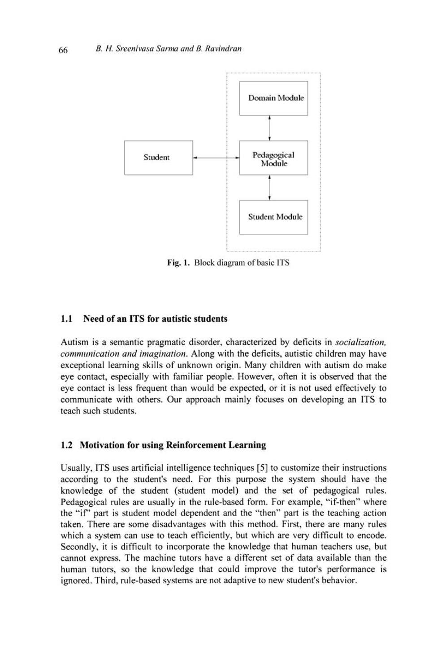

**Fig. 1.** Block diagram of basic ITS

#### **1.1 Need of an ITS for autistic students**

Autism is a semantic pragmatic disorder, characterized by deficits in *socialization, communication and imagination.* Along with the deficits, autistic children may have exceptional learning skills of unknown origin. Many children with autism do make eye contact, especially with familiar people. However, often it is observed that the eye contact is less frequent than would be expected, or it is not used effectively to communicate with others. Our approach mainly focuses on developing an ITS to teach such students.

#### **1.2 Motivation for using Reinforcement Learning**

Usually, ITS uses artificial intelligence techniques [5] to customize their instructions according to the student's need. For this purpose the system should have the knowledge of the student (student model) and the set of pedagogical rules. Pedagogical rules are usually in the rule-based form. For example, "if-then" where the "if" part is student model dependent and the "then" part is the teaching action taken. There are some disadvantages with this method. First, there are many rules which a system can use to teach efficiently, but which are very difficult to encode. Secondly, it is difficult to incorporate the knowledge that human teachers use, but cannot express. The machine tutors have a different set of data available than the human tutors, so the knowledge that could improve the tutor's performance is ignored. Third, rule-based systems are not adaptive to new student's behavior.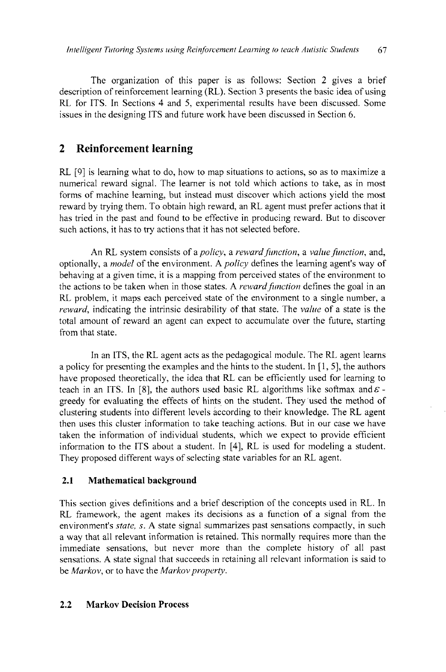The organization of this paper is as follows: Section 2 gives a brief description of reinforcement learning (RL). Section 3 presents the basic idea of using RL for ITS. In Sections 4 and 5, experimental results have been discussed. Some issues in the designing ITS and future work have been discussed in Section 6.

## **2 Reinforcement learning**

RL [9] is learning what to do, how to map situations to actions, so as to maximize a numerical reward signal. The learner is not told which actions to take, as in most forms of machine learning, but instead must discover which actions yield the most reward by trying them. To obtain high reward, an RL agent must prefer actions that it has tried in the past and found to be effective in producing reward. But to discover such actions, it has to try actions that it has not selected before.

An RL system consists of a *policy*, a *reward function*, a *value function*, and, optionally, a *model* of the environment. *A policy* defines the learning agent's way of behaving at a given time, it is a mapping from perceived states of the environment to the actions to be taken when in those states. A *reward function* defines the goal in an RL problem, it maps each perceived state of the environment to a single number, a *reward,* indicating the intrinsic desirability of that state. The *value* of a state is the total amount of reward an agent can expect to accumulate over the future, starting from that state.

In an ITS, the RL agent acts as the pedagogical module. The RL agent learns a policy for presenting the examples and the hints to the student. In  $[1, 5]$ , the authors have proposed theoretically, the idea that RL can be efficiently used for learning to teach in an ITS. In [8], the authors used basic RL algorithms like softmax and  $\varepsilon$  greedy for evaluating the effects of hints on the student. They used the method of clustering students into different levels according to their knowledge. The RL agent then uses this cluster information to take teaching actions. But in our case we have taken the information of individual students, which we expect to provide efficient information to the ITS about a student. In [4], RL is used for modeling a student. They proposed different ways of selecting state variables for an RL agent.

#### **2.1 Mathematical background**

This section gives definitions and a brief description of the concepts used in RL. In RL framework, the agent makes its decisions as a function of a signal from the environment's *state, s.* A state signal summarizes past sensations compactly, in such a way that all relevant information is retained. This normally requires more than the immediate sensations, but never more than the complete history of all past sensations. A state signal that succeeds in retaining all relevant information is said to be *Markov,* or to have the *Markov property.* 

### **2.2 Markov Decision Process**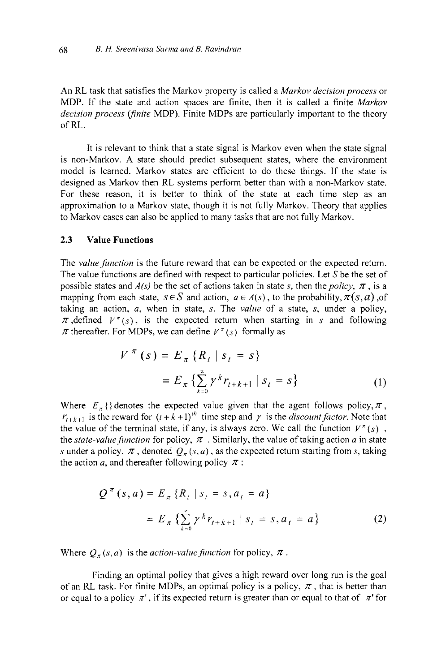An RL task that satisfies the Markov property is called a *Markov decision process* or MDP. If the state and action spaces are finite, then it is called a finite *Markov decision process {finite* MDP). Finite MDPs are particularly important to the theory ofRL.

It is relevant to think that a state signal is Markov even when the state signal is non-Markov. A state should predict subsequent states, where the environment model is learned. Markov states are efficient to do these things. If the state is designed as Markov then RL systems perform better than with a non-Markov state. For these reason, it is better to think of the state at each time step as an approximation to a Markov state, though it is not fully Markov. Theory that applies to Markov cases can also be applied to many tasks that are not fully Markov.

#### **2.3 Value Functions**

The *value function* is the future reward that can be expected or the expected return. The value functions are defined with respect to particular policies. Let *S* be the set of possible states and  $A(s)$  be the set of actions taken in state s, then the policy,  $\pi$ , is a mapping from each state,  $s \in S$  and action,  $a \in A(s)$ , to the probability,  $\pi(s, a)$ , of taking an action, a, when in state, *s.* The *value* of a state, *s,* under a policy,  $\pi$ , defined  $V^{\pi}(s)$ , is the expected return when starting in *s* and following  $\pi$  thereafter. For MDPs, we can define  $V^{\pi}(s)$  formally as

$$
V^{\pi}(s) = E_{\pi} \{ R_t | s_t = s \}
$$
  
= 
$$
E_{\pi} \{ \sum_{k=0}^{\infty} \gamma^k r_{t+k+1} | s_t = s \}
$$
 (1)

Where  $E_{\pi}$  {} denotes the expected value given that the agent follows policy,  $\pi$ ,  $r_{t+k+1}$  is the reward for  $(t + k + 1)^{th}$  time step and  $\gamma$  is the *discount factor*. Note that the value of the terminal state, if any, is always zero. We call the function  $V^{\pi}(s)$ , the *state-value function* for policy,  $\pi$ . Similarly, the value of taking action *a* in state *s* under a policy,  $\pi$ , denoted  $Q_{\pi}(s, a)$ , as the expected return starting from *s*, taking the action *a*, and thereafter following policy  $\pi$ :

$$
Q^{\pi}(s, a) = E_{\pi} \{R_t | s_t = s, a_t = a\}
$$
  
= 
$$
E_{\pi} \{ \sum_{k=0}^{x} \gamma^k r_{t+k+1} | s_t = s, a_t = a \}
$$
 (2)

Where  $Q_{\pi}(s, a)$  is the *action-value function* for policy,  $\pi$ .

Finding an optimal policy that gives a high reward over long run is the goal of an RL task. For finite MDPs, an optimal policy is a policy,  $\pi$ , that is better than or equal to a policy  $\pi'$ , if its expected return is greater than or equal to that of  $\pi'$  for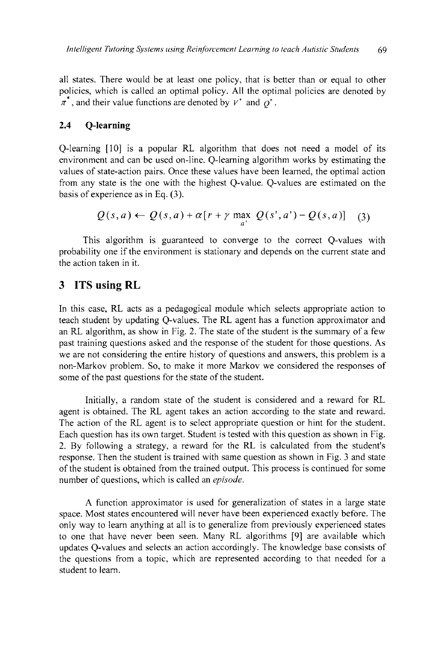all states. There would be at least one policy, that is better than or equal to other policies, which is called an optimal policy. All the optimal policies are denoted by  $\pi^*$ , and their value functions are denoted by  $\nu^*$  and  $\varphi^*$ .

## **2.4 Q-learning**

Q-learning [10] is a popular RL algorithm that does not need a model of its environment and can be used on-line. Q-learning algorithm works by estimating the values of state-action pairs. Once these values have been learned, the optimal action from any state is the one with the highest Q-value. Q-values are estimated on the basis of experience as in Eq. (3).

$$
Q(s, a) \leftarrow Q(s, a) + \alpha [r + \gamma \max_{s \in S} Q(s', a') - Q(s, a)] \quad (3)
$$

This algorithm is guaranteed to converge to the correct Q-values with probability one if the environment is stationary and depends on the current state and the action taken in it.

#### **3 ITS using RL**

In this case, RL acts as a pedagogical module which selects appropriate action to teach student by updating Q-values. The RL agent has a function approximator and an RL algorithm, as show in Fig. 2. The state of the student is the summary of a few past training questions asked and the response of the student for those questions. As we are not considering the entire history of questions and answers, this problem is a non-Markov problem. So, to make it more Markov we considered the responses of some of the past questions for the state of the student.

Initially, a random state of the student is considered and a reward for RL agent is obtained. The RL agent takes an action according to the state and reward. The action of the RL agent is to select appropriate question or hint for the student. Each question has its own target. Student is tested with this question as shown in Fig. 2. By following a strategy, a reward for the RL is calculated from the student's response. Then the student is trained with same question as shown in Fig. 3 and state of the student is obtained from the trained output. This process is continued for some number of questions, which is called an *episode.* 

A function approximator is used for generalization of states in a large state space. Most states encountered will never have been experienced exactly before. The only way to learn anything at all is to generalize from previously experienced states to one that have never been seen. Many RL algorithms [9] are available which updates Q-values and selects an action accordingly. The knowledge base consists of the questions from a topic, which are represented according to that needed for a student to learn.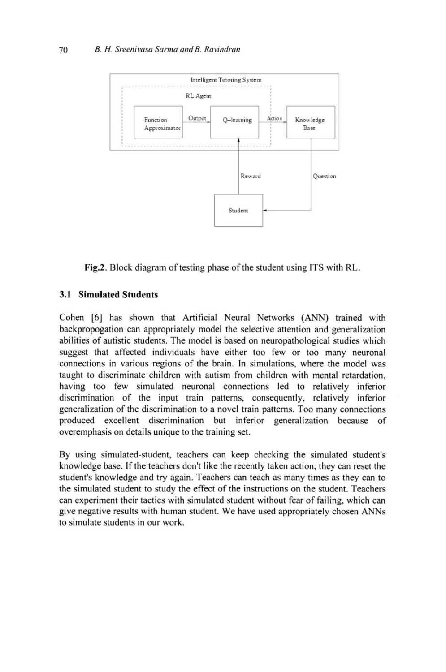

**Fig.2**. Block diagram of testing phase of the student using ITS with RL.

#### **3.1 Simulated Students**

Cohen [6] has shown that Artificial Neural Networks (ANN) trained with backpropogation can appropriately model the selective attention and generalization abilities of autistic students. The model is based on neuropathological studies which suggest that affected individuals have either too few or too many neuronal connections in various regions of the brain. In simulations, where the model was taught to discriminate children with autism from children with mental retardation, having too few simulated neuronal connections led to relatively inferior discrimination of the input train patterns, consequently, relatively inferior generalization of the discrimination to a novel train patterns. Too many connections produced excellent discrimination but inferior generalization because of overemphasis on details unique to the training set.

By using simulated-student, teachers can keep checking the simulated student's knowledge base. If the teachers don't like the recently taken action, they can reset the student's knowledge and try again. Teachers can teach as many times as they can to the simulated student to study the effect of the instructions on the student. Teachers can experiment their tactics with simulated student without fear of failing, which can give negative results with human student. We have used appropriately chosen ANNs to simulate students in our work.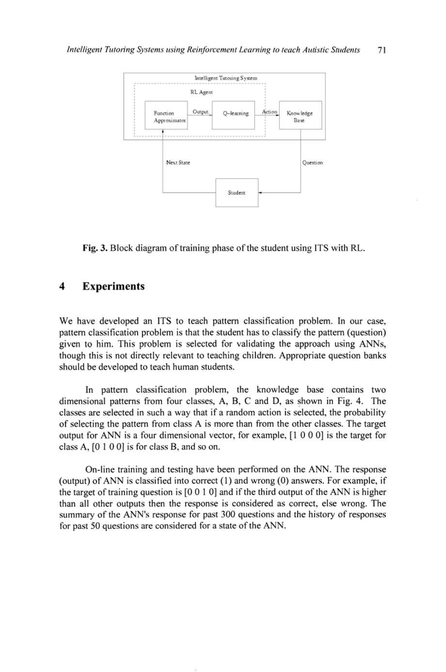

**Fig. 3.** Block diagram of training phase of the student using ITS with RL.

## **4 Experiments**

We have developed an ITS to teach pattern classification problem. In our case, pattern classification problem is that the student has to classify the pattern (question) given to him. This problem is selected for validating the approach using ANNs, though this is not directly relevant to teaching children. Appropriate question banks should be developed to teach human students.

In pattern classification problem, the knowledge base contains two dimensional patterns from four classes, A, B, C and D, as shown in Fig. 4. The classes are selected in such a way that if a random action is selected, the probability of selecting the pattern from class A is more than from the other classes. The target output for ANN is a four dimensional vector, for example, [1 0 0 0] is the target for class A, [0 1 0 0] is for class B, and so on.

On-line training and testing have been performed on the ANN. The response (output) of ANN is classified into correct (1) and wrong (0) answers. For example, if the target of training question is  $[0\ 0\ 1\ 0]$  and if the third output of the ANN is higher than all other outputs then the response is considered as correct, else wrong. The summary of the ANN's response for past 300 questions and the history of responses for past 50 questions are considered for a state of the ANN.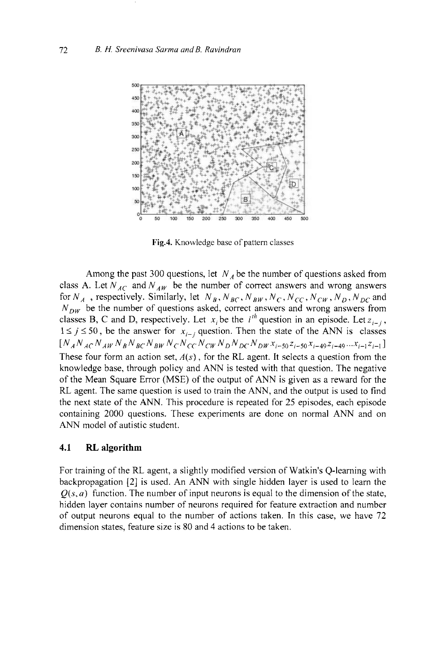

**Fig.4.** Knowledge base of pattern classes

Among the past 300 questions, let  $N_A$  be the number of questions asked from class A. Let  $N_{AC}$  and  $N_{AW}$  be the number of correct answers and wrong answers for  $N_A$ , respectively. Similarly, let  $N_B$ ,  $N_{BC}$ ,  $N_{BW}$ ,  $N_C$ ,  $N_{CC}$ ,  $N_{CW}$ ,  $N_D$ ,  $N_{DC}$  and  $N_{DW}$  be the number of questions asked, correct answers and wrong answers from classes B, C and D, respectively. Let  $x_i$  be the  $i^{\text{th}}$  question in an episode. Let  $z_{i-j}$ ,  $1 \le j \le 50$ , be the answer for  $x_{i-j}$  question. Then the state of the ANN is classes  $[N_A N_{AC} N_{AW} N_B N_{BC} N_{BW} N_C N_{CC} N_{CW} N_D N_{DC} N_{DW} x_{i-50} z_{i-50} x_{i-49} z_{i-49} ... x_{i-1} z_{i-1}]$ These four form an action set,  $A(s)$ , for the RL agent. It selects a question from the knowledge base, through policy and ANN is tested with that question. The negative of the Mean Square Error (MSE) of the output of ANN is given as a reward for the RL agent. The same question is used to train the ANN, and the output is used to find the next state of the ANN. This procedure is repeated for 25 episodes, each episode containing 2000 questions. These experiments are done on normal ANN and on ANN model of autistic student.

#### **4.1 RL algorithm**

For training of the RL agent, a slightly modified version of Watkin's Q-learning with backpropagation [2] is used. An ANN with single hidden layer is used to learn the *Q(s, a)* function. The number of input neurons is equal to the dimension of the state, hidden layer contains number of neurons required for feature extraction and number of output neurons equal to the number of actions taken. In this case, we have 72 dimension states, feature size is 80 and 4 actions to be taken.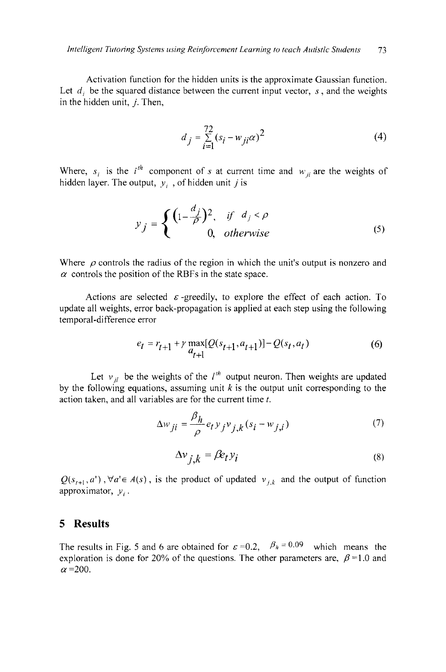Activation function for the hidden units is the approximate Gaussian function. Let  $d_i$  be the squared distance between the current input vector,  $s$ , and the weights in the hidden unit, *j*. Then,

$$
d_j = \sum_{i=1}^{72} (s_i - w_{ji}\alpha)^2
$$
 (4)

Where,  $s_i$  is the *i*<sup>th</sup> component of *s* at current time and  $w_{ji}$  are the weights of hidden layer. The output, *y<sup>i</sup>* , of hidden unit *j* is

$$
y_j = \begin{cases} \left(1 - \frac{d_j}{\rho}\right)^2, & \text{if } d_j < \rho \\ 0, & \text{otherwise} \end{cases}
$$
 (5)

Where  $\rho$  controls the radius of the region in which the unit's output is nonzero and  $\alpha$  controls the position of the RBFs in the state space.

Actions are selected  $\varepsilon$ -greedily, to explore the effect of each action. To update all weights, error back-propagation is applied at each step using the following temporal-difference error

$$
e_t = r_{t+1} + \gamma \max_{a_{t+1}} [Q(s_{t+1}, a_{t+1})] - Q(s_t, a_t)
$$
\n(6)

Let  $v_{jl}$  be the weights of the  $l^{th}$  output neuron. Then weights are updated by the following equations, assuming unit *k* is the output unit corresponding to the action taken, and all variables are for the current time *t.* 

$$
\Delta w_{ji} = \frac{\beta_h}{\rho} e_t y_j v_{j,k} (s_i - w_{j,i})
$$
\n(7)

$$
\Delta v_{j,k} = \beta e_t y_i \tag{8}
$$

 $Q(s_{t+1}, a')$ ,  $\forall a' \in A(s)$ , is the product of updated  $v_{i,k}$  and the output of function approximator, *y<sup>i</sup>* .

## **5 Results**

The results in Fig. 5 and 6 are obtained for  $\varepsilon = 0.2$ ,  $\beta_h = 0.09$  which means the exploration is done for 20% of the questions. The other parameters are,  $\beta = 1.0$  and  $\alpha$  =200.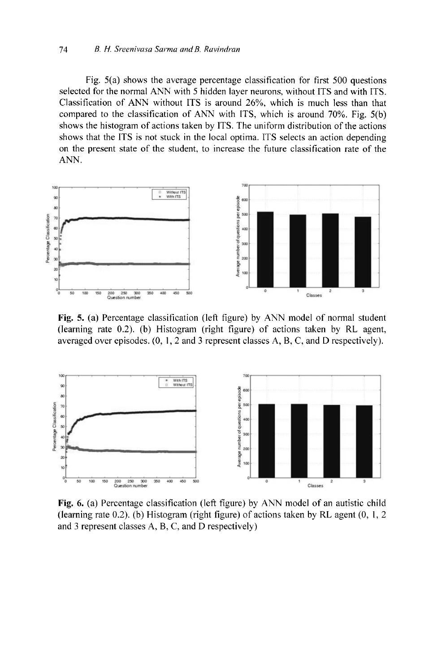#### 74 *B. H. Sreenivasa Sarma andB. Ravindran*

Fig. 5(a) shows the average percentage classification for first 500 questions selected for the normal ANN with 5 hidden layer neurons, without ITS and with ITS. Classification of ANN without ITS is around 26%, which is much less than that compared to the classification of ANN with ITS, which is around 70%. Fig. 5(b) shows the histogram of actions taken by ITS. The uniform distribution of the actions shows that the ITS is not stuck in the local optima. ITS selects an action depending on the present state of the student, to increase the future classification rate of the ANN.



**Fig. 5.** (a) Percentage classification (left figure) by ANN model of normal student (learning rate 0.2). (b) Histogram (right figure) of actions taken by RL agent, averaged over episodes. (0, 1, 2 and 3 represent classes A, B, C, and D respectively).



**Fig. 6.** (a) Percentage classification (left figure) by ANN model of an autistic child (learning rate 0.2). (b) Histogram (right figure) of actions taken by RL agent (0, 1, 2 and 3 represent classes A, B, C, and D respectively)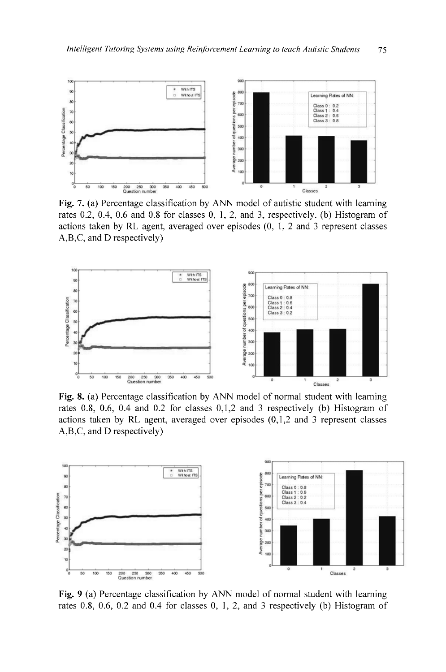

**Fig. 7.** (a) Percentage classification by ANN model of autistic student with learning rates 0.2, 0.4, 0.6 and 0.8 for classes 0, 1, 2, and 3, respectively. (b) Histogram of actions taken by RL agent, averaged over episodes (0, 1, 2 and 3 represent classes A,B,C, and D respectively)



**Fig. 8.** (a) Percentage classification by ANN model of normal student with learning rates 0.8, 0.6, 0.4 and 0.2 for classes 0,1,2 and 3 respectively (b) Histogram of actions taken by RL agent, averaged over episodes (0,1,2 and 3 represent classes A,B,C, and D respectively)



**Fig. 9** (a) Percentage classification by ANN model of normal student with learning rates 0.8, 0.6, 0.2 and 0.4 for classes 0, 1, 2, and 3 respectively (b) Histogram of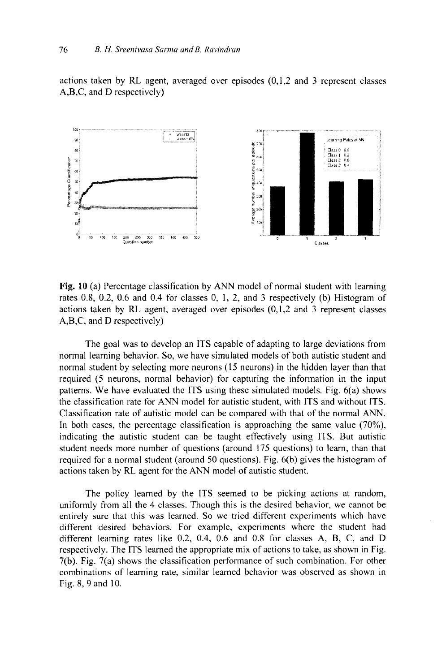actions taken by RL agent, averaged over episodes (0,1,2 and 3 represent classes A,B,C, and D respectively)



**Fig.** 10 (a) Percentage classification by ANN model of normal student with learning rates 0.8, 0.2, 0.6 and 0.4 for classes 0, 1, 2, and 3 respectively (b) Histogram of actions taken by RL agent, averaged over episodes (0,1,2 and 3 represent classes A,B,C, and D respectively)

The goal was to develop an ITS capable of adapting to large deviations from normal learning behavior. So, we have simulated models of both autistic student and normal student by selecting more neurons (15 neurons) in the hidden layer than that required (5 neurons, normal behavior) for capturing the information in the input patterns. We have evaluated the ITS using these simulated models. Fig. 6(a) shows the classification rate for ANN model for autistic student, with ITS and without ITS. Classification rate of autistic model can be compared with that of the normal ANN. In both cases, the percentage classification is approaching the same value (70%), indicating the autistic student can be taught effectively using ITS. But autistic student needs more number of questions (around 175 questions) to learn, than that required for a normal student (around 50 questions). Fig. 6(b) gives the histogram of actions taken by RL agent for the ANN model of autistic student.

The policy learned by the ITS seemed to be picking actions at random, uniformly from all the 4 classes. Though this is the desired behavior, we cannot be entirely sure that this was learned. So we tried different experiments which have different desired behaviors. For example, experiments where the student had different learning rates like 0.2, 0.4, 0.6 and 0.8 for classes A, B, C, and D respectively. The ITS learned the appropriate mix of actions to take, as shown in Fig. 7(b). Fig. 7(a) shows the classification performance of such combination. For other combinations of learning rate, similar learned behavior was observed as shown in Fig. 8, 9 and 10.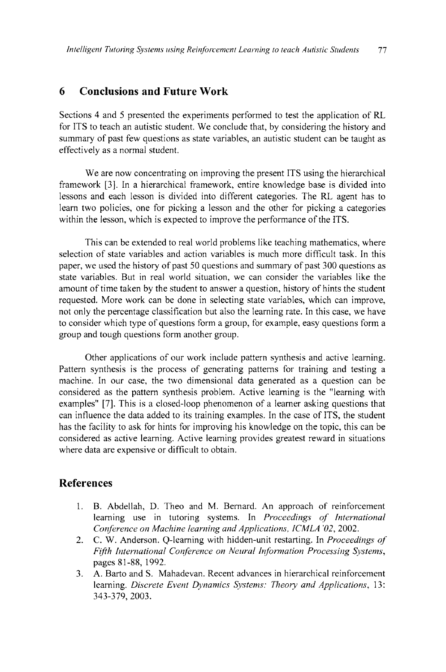## **6 Conclusions and Future Work**

Sections 4 and 5 presented the experiments performed to test the application of RL for ITS to teach an autistic student. We conclude that, by considering the history and summary of past few questions as state variables, an autistic student can be taught as effectively as a normal student.

We are now concentrating on improving the present ITS using the hierarchical framework [3]. In a hierarchical framework, entire knowledge base is divided into lessons and each lesson is divided into different categories. The RL agent has to learn two policies, one for picking a lesson and the other for picking a categories within the lesson, which is expected to improve the performance of the ITS.

This can be extended to real world problems like teaching mathematics, where selection of state variables and action variables is much more difficult task. In this paper, we used the history of past 50 questions and summary of past 300 questions as state variables. But in real world situation, we can consider the variables like the amount of time taken by the student to answer a question, history of hints the student requested. More work can be done in selecting state variables, which can improve, not only the percentage classification but also the learning rate. In this case, we have to consider which type of questions form a group, for example, easy questions form a group and tough questions form another group.

Other applications of our work include pattern synthesis and active learning. Pattern synthesis is the process of generating patterns for training and testing a machine. In our case, the two dimensional data generated as a question can be considered as the pattern synthesis problem. Active learning is the "learning with examples" [7]. This is a closed-loop phenomenon of a learner asking questions that can influence the data added to its training examples. In the case of ITS, the student has the facility to ask for hints for improving his knowledge on the topic, this can be considered as active learning. Active learning provides greatest reward in situations where data are expensive or difficult to obtain.

# **References**

- 1. B. Abdellah, D. Theo and M. Bernard. An approach of reinforcement learning use in tutoring systems. In *Proceedings of International Conference on Machine learning and Applications, ICMLA '02,* 2002.
- 2. C. W. Anderson. Q-learning with hidden-unit restarting. In *Proceedings of Fifth International Conference on Neural Information Processing Systems,*  pages 81-88, 1992.
- 3. A. Barto and S. Mahadevan. Recent advances in hierarchical reinforcement learning. *Discrete Event Dynamics Systems: Theory and Applications,* 13: 343-379, 2003.